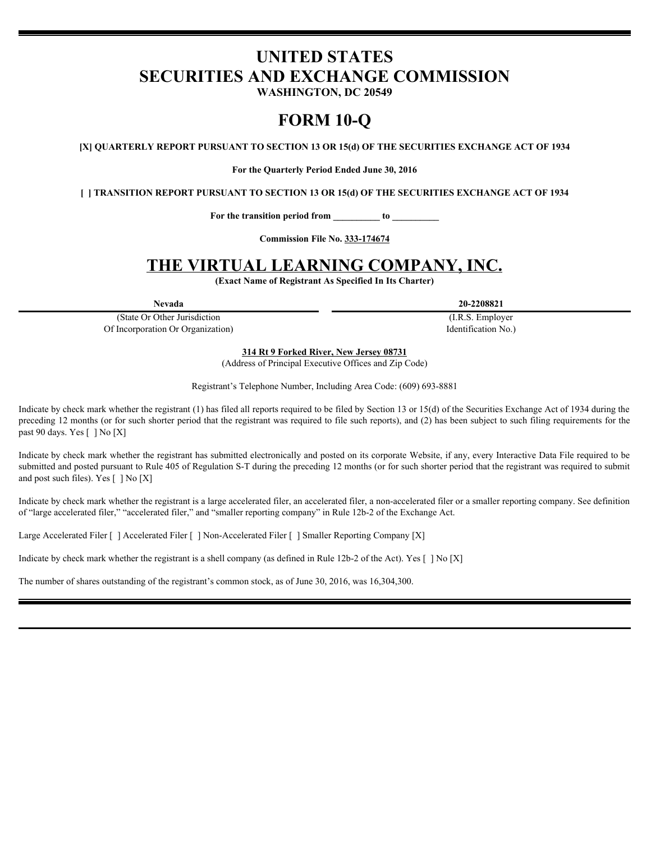# **UNITED STATES SECURITIES AND EXCHANGE COMMISSION**

**WASHINGTON, DC 20549**

# **FORM 10-Q**

**[X] QUARTERLY REPORT PURSUANT TO SECTION 13 OR 15(d) OF THE SECURITIES EXCHANGE ACT OF 1934**

**For the Quarterly Period Ended June 30, 2016**

**[ ] TRANSITION REPORT PURSUANT TO SECTION 13 OR 15(d) OF THE SECURITIES EXCHANGE ACT OF 1934**

**For the transition period from \_\_\_\_\_\_\_\_\_\_ to \_\_\_\_\_\_\_\_\_\_**

**Commission File No. 333-174674**

# **THE VIRTUAL LEARNING COMPANY, INC.**

**(Exact Name of Registrant As Specified In Its Charter)**

(State Or Other Jurisdiction Of Incorporation Or Organization)

**Nevada 20-2208821**

(I.R.S. Employer Identification No.)

**314 Rt 9 Forked River, New Jersey 08731**

(Address of Principal Executive Offices and Zip Code)

Registrant's Telephone Number, Including Area Code: (609) 693-8881

Indicate by check mark whether the registrant (1) has filed all reports required to be filed by Section 13 or 15(d) of the Securities Exchange Act of 1934 during the preceding 12 months (or for such shorter period that the registrant was required to file such reports), and (2) has been subject to such filing requirements for the past 90 days. Yes [ ] No [X]

Indicate by check mark whether the registrant has submitted electronically and posted on its corporate Website, if any, every Interactive Data File required to be submitted and posted pursuant to Rule 405 of Regulation S-T during the preceding 12 months (or for such shorter period that the registrant was required to submit and post such files). Yes [ ] No [X]

Indicate by check mark whether the registrant is a large accelerated filer, an accelerated filer, a non-accelerated filer or a smaller reporting company. See definition of "large accelerated filer," "accelerated filer," and "smaller reporting company" in Rule 12b-2 of the Exchange Act.

Large Accelerated Filer [ ] Accelerated Filer [ ] Non-Accelerated Filer [ ] Smaller Reporting Company [X]

Indicate by check mark whether the registrant is a shell company (as defined in Rule 12b-2 of the Act). Yes  $[ \ ]$  No  $[X]$ 

The number of shares outstanding of the registrant's common stock, as of June 30, 2016, was 16,304,300.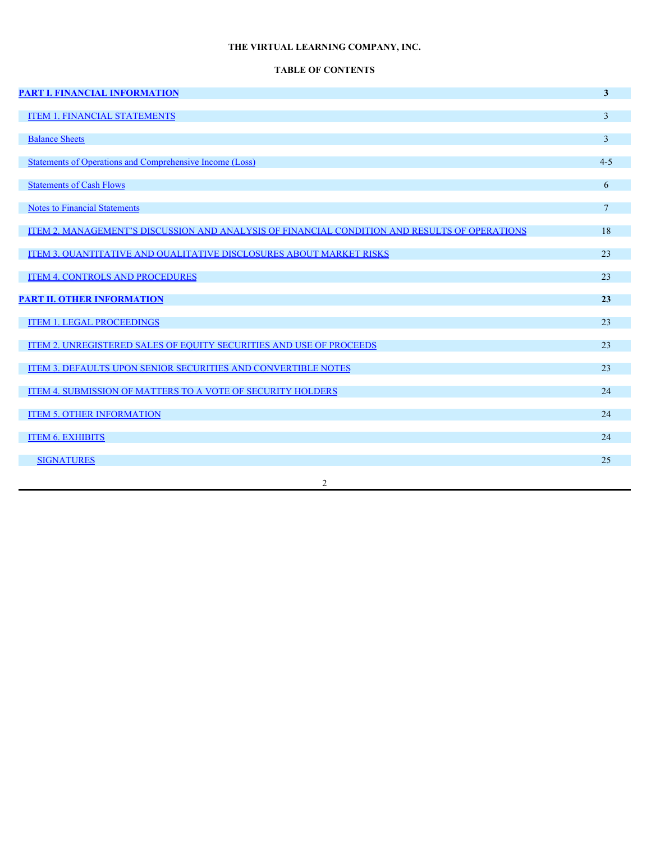# **TABLE OF CONTENTS**

| <b>PART I. FINANCIAL INFORMATION</b>                                                          | 3 <sup>1</sup>  |
|-----------------------------------------------------------------------------------------------|-----------------|
| <b>ITEM 1. FINANCIAL STATEMENTS</b>                                                           | $\overline{3}$  |
| <b>Balance Sheets</b>                                                                         | 3 <sup>7</sup>  |
| <b>Statements of Operations and Comprehensive Income (Loss)</b>                               | $4 - 5$         |
| <b>Statements of Cash Flows</b>                                                               | 6               |
| <b>Notes to Financial Statements</b>                                                          | $7\overline{ }$ |
| ITEM 2. MANAGEMENT'S DISCUSSION AND ANALYSIS OF FINANCIAL CONDITION AND RESULTS OF OPERATIONS | 18              |
| ITEM 3. QUANTITATIVE AND QUALITATIVE DISCLOSURES ABOUT MARKET RISKS                           | 23              |
| <b>ITEM 4. CONTROLS AND PROCEDURES</b>                                                        | 23              |
| <b>PART II. OTHER INFORMATION</b>                                                             | 23              |
| <b>ITEM 1. LEGAL PROCEEDINGS</b>                                                              | 23              |
| ITEM 2. UNREGISTERED SALES OF EQUITY SECURITIES AND USE OF PROCEEDS                           | 23              |
| ITEM 3. DEFAULTS UPON SENIOR SECURITIES AND CONVERTIBLE NOTES                                 | 23              |
| ITEM 4. SUBMISSION OF MATTERS TO A VOTE OF SECURITY HOLDERS                                   | 24              |
| <b>ITEM 5. OTHER INFORMATION</b>                                                              | 24              |
| <b>ITEM 6. EXHIBITS</b>                                                                       | 24              |
| <b>SIGNATURES</b>                                                                             | 25              |
| 2                                                                                             |                 |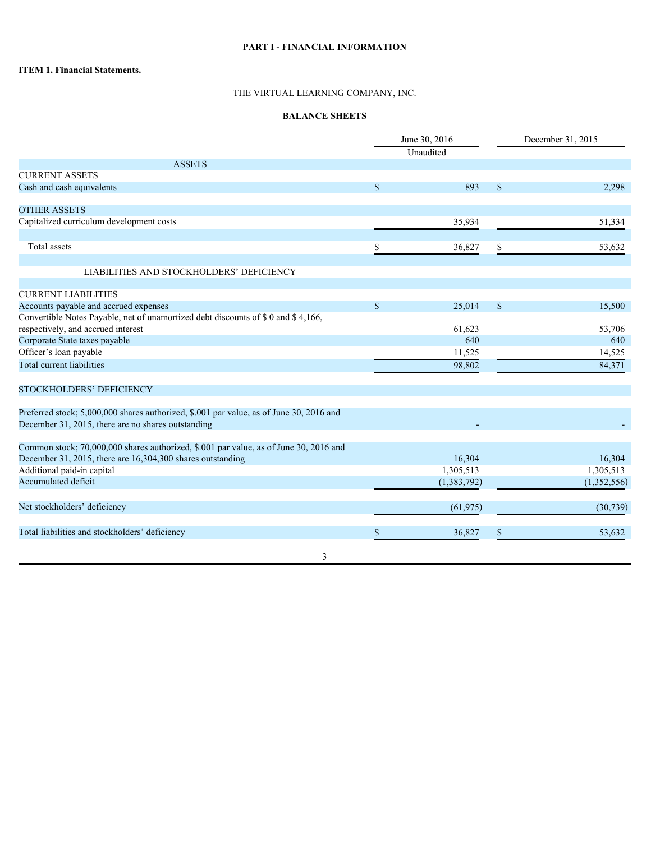# **PART I - FINANCIAL INFORMATION**

## **ITEM 1. Financial Statements.**

# THE VIRTUAL LEARNING COMPANY, INC.

## **BALANCE SHEETS**

|                                                                                         |               | June 30, 2016<br>Unaudited |              | December 31, 2015 |  |  |
|-----------------------------------------------------------------------------------------|---------------|----------------------------|--------------|-------------------|--|--|
| <b>ASSETS</b>                                                                           |               |                            |              |                   |  |  |
| <b>CURRENT ASSETS</b>                                                                   |               |                            |              |                   |  |  |
| Cash and cash equivalents                                                               | <sup>\$</sup> | 893                        | <sup>S</sup> | 2,298             |  |  |
|                                                                                         |               |                            |              |                   |  |  |
| <b>OTHER ASSETS</b>                                                                     |               |                            |              |                   |  |  |
| Capitalized curriculum development costs                                                |               | 35,934                     |              | 51,334            |  |  |
|                                                                                         |               |                            |              |                   |  |  |
| Total assets                                                                            |               | 36,827                     |              | 53,632            |  |  |
|                                                                                         |               |                            |              |                   |  |  |
| LIABILITIES AND STOCKHOLDERS' DEFICIENCY                                                |               |                            |              |                   |  |  |
| <b>CURRENT LIABILITIES</b>                                                              |               |                            |              |                   |  |  |
| Accounts payable and accrued expenses                                                   | <sup>S</sup>  | 25,014                     | <sup>S</sup> | 15,500            |  |  |
| Convertible Notes Payable, net of unamortized debt discounts of \$0 and \$4,166,        |               |                            |              |                   |  |  |
| respectively, and accrued interest                                                      |               | 61,623                     |              | 53,706            |  |  |
| Corporate State taxes payable                                                           |               | 640                        |              | 640               |  |  |
| Officer's loan payable                                                                  |               | 11,525                     |              | 14,525            |  |  |
| Total current liabilities                                                               |               | 98,802                     |              | 84,371            |  |  |
|                                                                                         |               |                            |              |                   |  |  |
| STOCKHOLDERS' DEFICIENCY                                                                |               |                            |              |                   |  |  |
| Preferred stock; 5,000,000 shares authorized, \$.001 par value, as of June 30, 2016 and |               |                            |              |                   |  |  |
| December 31, 2015, there are no shares outstanding                                      |               |                            |              |                   |  |  |
|                                                                                         |               |                            |              |                   |  |  |
| Common stock; 70,000,000 shares authorized, \$.001 par value, as of June 30, 2016 and   |               |                            |              |                   |  |  |
| December 31, 2015, there are 16,304,300 shares outstanding                              |               | 16,304                     |              | 16,304            |  |  |
| Additional paid-in capital                                                              |               | 1,305,513                  |              | 1,305,513         |  |  |
| Accumulated deficit                                                                     |               | (1,383,792)                |              | (1,352,556)       |  |  |
| Net stockholders' deficiency                                                            |               |                            |              |                   |  |  |
|                                                                                         |               | (61, 975)                  |              | (30, 739)         |  |  |
| Total liabilities and stockholders' deficiency                                          |               | 36,827                     |              | 53,632            |  |  |
|                                                                                         |               |                            |              |                   |  |  |
| 3                                                                                       |               |                            |              |                   |  |  |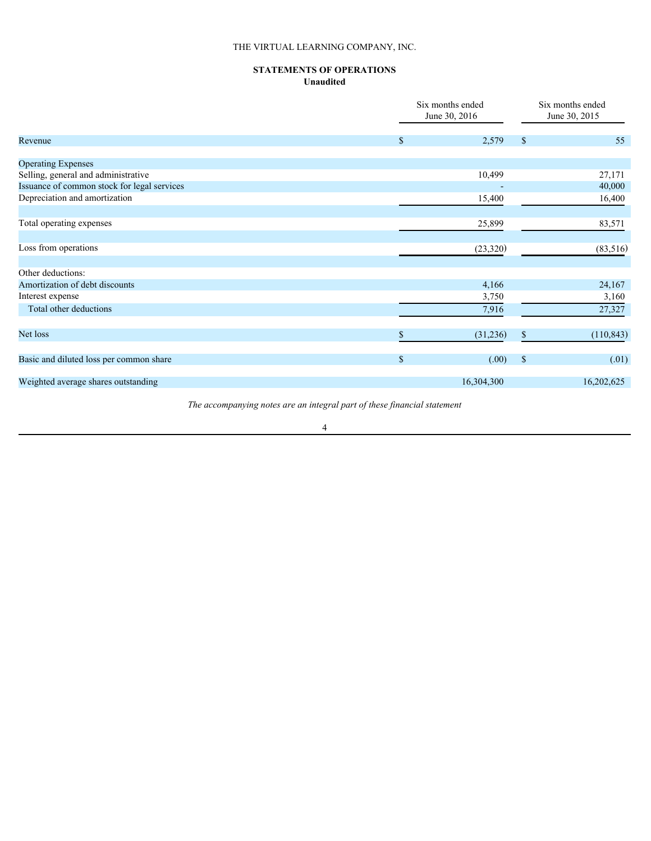# **STATEMENTS OF OPERATIONS Unaudited**

|                                             |               | Six months ended<br>June 30, 2016 | Six months ended<br>June 30, 2015 |            |  |
|---------------------------------------------|---------------|-----------------------------------|-----------------------------------|------------|--|
| Revenue                                     | -SS           | 2,579                             | <sup>S</sup>                      | 55         |  |
| <b>Operating Expenses</b>                   |               |                                   |                                   |            |  |
| Selling, general and administrative         |               | 10,499                            |                                   | 27,171     |  |
| Issuance of common stock for legal services |               |                                   |                                   | 40,000     |  |
| Depreciation and amortization               |               | 15,400                            |                                   | 16,400     |  |
| Total operating expenses                    |               | 25,899                            |                                   | 83,571     |  |
| Loss from operations                        |               | (23, 320)                         |                                   | (83, 516)  |  |
| Other deductions:                           |               |                                   |                                   |            |  |
| Amortization of debt discounts              |               | 4,166                             |                                   | 24,167     |  |
| Interest expense                            |               | 3,750                             |                                   | 3,160      |  |
| Total other deductions                      |               | 7,916                             |                                   | 27,327     |  |
| Net loss                                    |               | (31,236)                          |                                   | (110, 843) |  |
| Basic and diluted loss per common share     | $\mathcal{S}$ | (.00)                             | $\sqrt{S}$                        | (.01)      |  |
| Weighted average shares outstanding         |               | 16,304,300                        |                                   | 16,202,625 |  |
|                                             |               |                                   |                                   |            |  |

*The accompanying notes are an integral part of these financial statement*

4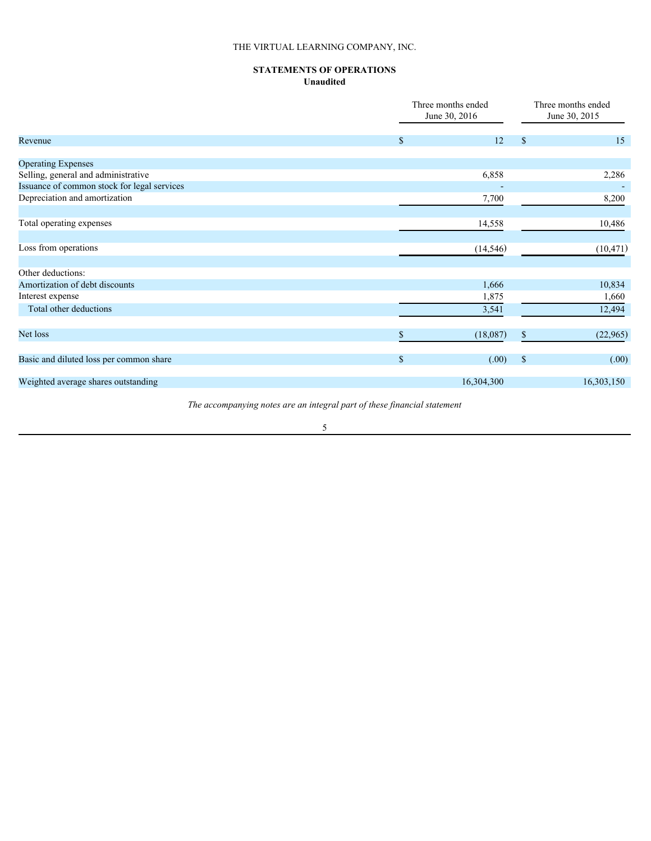# **STATEMENTS OF OPERATIONS Unaudited**

|                                             |               | Three months ended<br>June 30, 2016 | Three months ended<br>June 30, 2015 |  |  |
|---------------------------------------------|---------------|-------------------------------------|-------------------------------------|--|--|
| Revenue                                     | <sup>\$</sup> | 12                                  | 15<br><sup>\$</sup>                 |  |  |
| <b>Operating Expenses</b>                   |               |                                     |                                     |  |  |
| Selling, general and administrative         |               | 6,858                               | 2,286                               |  |  |
| Issuance of common stock for legal services |               |                                     | $\overline{\phantom{0}}$            |  |  |
| Depreciation and amortization               |               | 7,700                               | 8,200                               |  |  |
| Total operating expenses                    |               | 14,558                              | 10,486                              |  |  |
| Loss from operations                        |               | (14, 546)                           | (10, 471)                           |  |  |
| Other deductions:                           |               |                                     |                                     |  |  |
| Amortization of debt discounts              |               | 1,666                               | 10,834                              |  |  |
| Interest expense                            |               | 1,875                               | 1,660                               |  |  |
| Total other deductions                      |               | 3,541                               | 12,494                              |  |  |
| Net loss                                    |               | (18,087)                            | (22,965)<br>S.                      |  |  |
|                                             |               |                                     |                                     |  |  |
| Basic and diluted loss per common share     |               | (.00)                               | (.00)<br>$\mathbf{s}$               |  |  |
| Weighted average shares outstanding         |               | 16,304,300                          | 16,303,150                          |  |  |
|                                             |               |                                     |                                     |  |  |

*The accompanying notes are an integral part of these financial statement*

5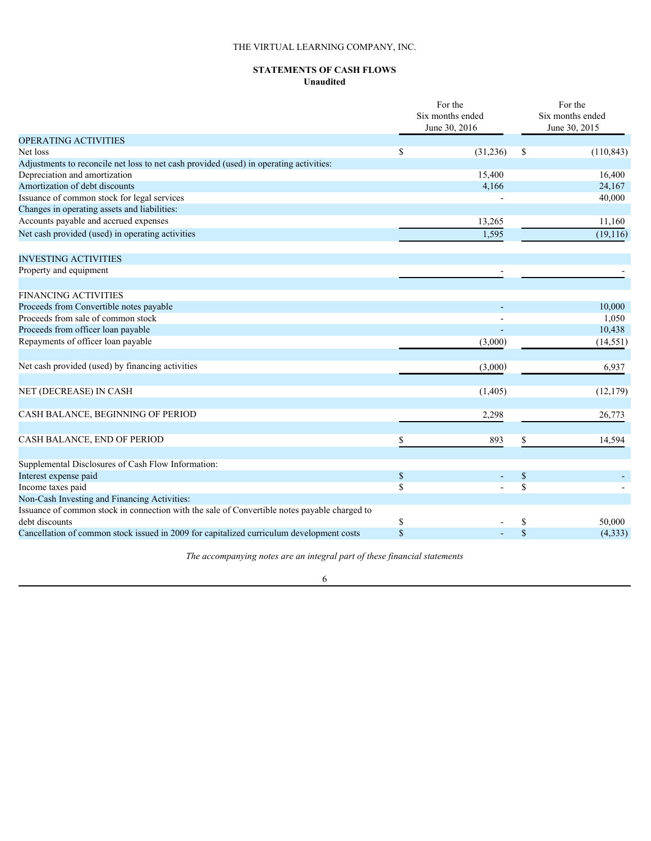### **STATEMENTS OF CASH FLOWS Unaudited**

|                                                                                              | For the<br>Six months ended<br>June 30, 2016 |          |              | For the<br>Six months ended<br>June 30, 2015 |  |  |
|----------------------------------------------------------------------------------------------|----------------------------------------------|----------|--------------|----------------------------------------------|--|--|
| OPERATING ACTIVITIES                                                                         |                                              |          |              |                                              |  |  |
| Net loss                                                                                     |                                              | (31,236) | -S           | (110, 843)                                   |  |  |
| Adjustments to reconcile net loss to net cash provided (used) in operating activities:       |                                              |          |              |                                              |  |  |
| Depreciation and amortization                                                                |                                              | 15,400   |              | 16,400                                       |  |  |
| Amortization of debt discounts                                                               |                                              | 4,166    |              | 24,167                                       |  |  |
| Issuance of common stock for legal services                                                  |                                              |          |              | 40,000                                       |  |  |
| Changes in operating assets and liabilities:                                                 |                                              |          |              |                                              |  |  |
| Accounts payable and accrued expenses                                                        |                                              | 13,265   |              | 11,160                                       |  |  |
| Net cash provided (used) in operating activities                                             |                                              | 1,595    |              | (19,116)                                     |  |  |
| <b>INVESTING ACTIVITIES</b>                                                                  |                                              |          |              |                                              |  |  |
| Property and equipment                                                                       |                                              |          |              |                                              |  |  |
| <b>FINANCING ACTIVITIES</b>                                                                  |                                              |          |              |                                              |  |  |
| Proceeds from Convertible notes payable                                                      |                                              |          |              | 10,000                                       |  |  |
| Proceeds from sale of common stock                                                           |                                              |          |              | 1,050                                        |  |  |
| Proceeds from officer loan payable                                                           |                                              |          |              | 10,438                                       |  |  |
| Repayments of officer loan payable                                                           |                                              | (3,000)  |              | (14, 551)                                    |  |  |
|                                                                                              |                                              |          |              |                                              |  |  |
| Net cash provided (used) by financing activities                                             |                                              | (3,000)  |              | 6,937                                        |  |  |
| NET (DECREASE) IN CASH                                                                       |                                              | (1,405)  |              | (12, 179)                                    |  |  |
|                                                                                              |                                              |          |              |                                              |  |  |
| CASH BALANCE, BEGINNING OF PERIOD                                                            |                                              | 2,298    |              | 26,773                                       |  |  |
| CASH BALANCE, END OF PERIOD                                                                  |                                              | 893      |              | 14,594                                       |  |  |
|                                                                                              |                                              |          |              |                                              |  |  |
| Supplemental Disclosures of Cash Flow Information:                                           |                                              |          |              |                                              |  |  |
| Interest expense paid                                                                        | \$                                           |          | $\mathbb{S}$ |                                              |  |  |
| Income taxes paid                                                                            | \$                                           |          | $\mathbb{S}$ |                                              |  |  |
| Non-Cash Investing and Financing Activities:                                                 |                                              |          |              |                                              |  |  |
| Issuance of common stock in connection with the sale of Convertible notes payable charged to |                                              |          |              |                                              |  |  |
| debt discounts                                                                               | S                                            |          | \$           | 50,000                                       |  |  |
| Cancellation of common stock issued in 2009 for capitalized curriculum development costs     |                                              |          | $\mathbf S$  | (4, 333)                                     |  |  |

*The accompanying notes are an integral part of these financial statements*

# 6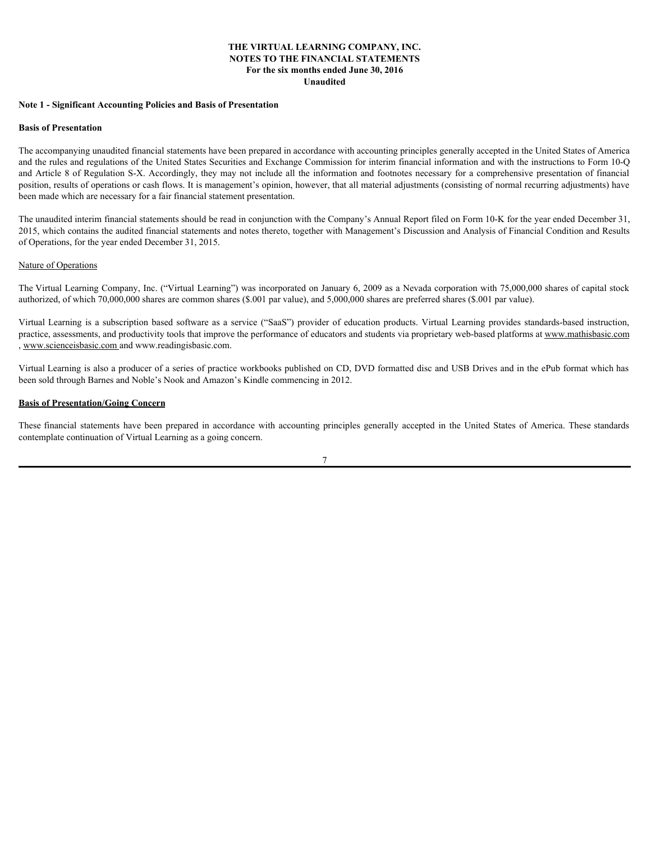## **THE VIRTUAL LEARNING COMPANY, INC. NOTES TO THE FINANCIAL STATEMENTS For the six months ended June 30, 2016 Unaudited**

#### **Note 1 - Significant Accounting Policies and Basis of Presentation**

#### **Basis of Presentation**

The accompanying unaudited financial statements have been prepared in accordance with accounting principles generally accepted in the United States of America and the rules and regulations of the United States Securities and Exchange Commission for interim financial information and with the instructions to Form 10-Q and Article 8 of Regulation S-X. Accordingly, they may not include all the information and footnotes necessary for a comprehensive presentation of financial position, results of operations or cash flows. It is management's opinion, however, that all material adjustments (consisting of normal recurring adjustments) have been made which are necessary for a fair financial statement presentation. VIER VIRTUAL LEARNING COMPANY, INC.<br>
SOTES TO THE FINANCIAL STATTEMENTS<br>
The months end of the subscription of the subscription of the months of the months of the subscription of the subscription<br>
Hash of Presentation<br>
Has The Control Accounting Policies and Basis of Presentation<br>
Estis of Presentation<br>
The accompany product information and Basis of Presentation<br>
The accompany product States of America Control States from the accordance with

The unaudited interim financial statements should be read in conjunction with the Company's Annual Report filed on Form 10-K for the year ended December 31, 2015, which contains the audited financial statements and notes thereto, together with Management's Discussion and Analysis of Financial Condition and Results of Operations, for the year ended December 31, 2015.

#### Nature of Operations

The Virtual Learning Company, Inc. ("Virtual Learning") was incorporated on January 6, 2009 as a Nevada corporation with 75,000,000 shares of capital stock authorized, of which 70,000,000 shares are common shares (\$.001 par value), and 5,000,000 shares are preferred shares (\$.001 par value).

practice, assessments, and productivity tools that improve the performance of educators and students via proprietary web-based platforms at www.mathisbasic.com , www.scienceisbasic.com and www.readingisbasic.com.

Virtual Learning is also a producer of a series of practice workbooks published on CD, DVD formatted disc and USB Drives and in the ePub format which has been sold through Barnes and Noble's Nook and Amazon's Kindle commencing in 2012.

#### **Basis of Presentation/Going Concern**

contemplate continuation of Virtual Learning as a going concern.

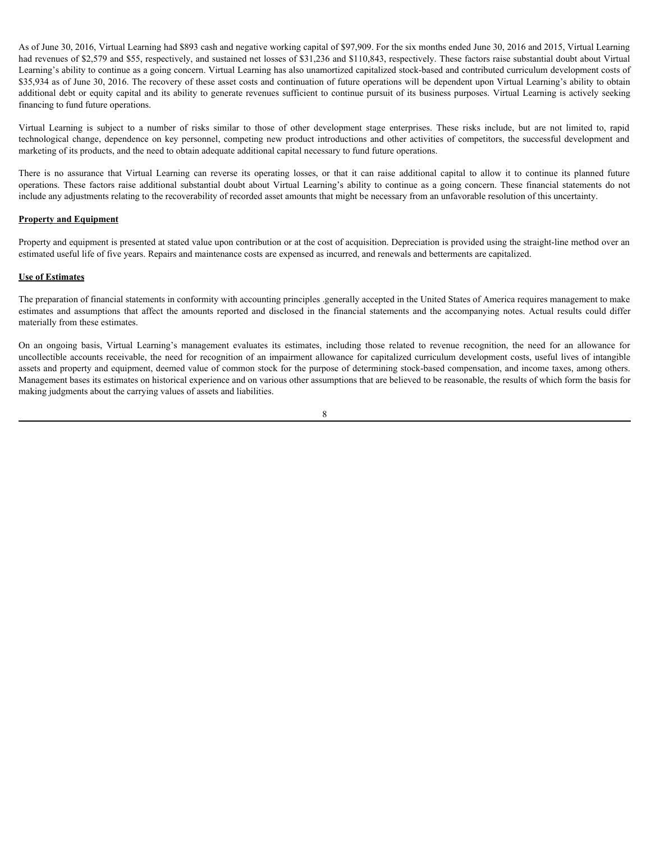As of June 30, 2016, Virtual Learning had \$893 cash and negative working capital of \$97,909. For the six months ended June 30, 2016 and 2015, Virtual Learning had revenues of \$2,579 and \$55, respectively, and sustained net losses of \$31,236 and \$110,843, respectively. These factors raise substantial doubt about Virtual Learning's ability to continue as a going concern. Virtual Learning has also unamortized capitalized stock-based and contributed curriculum development costs of \$35,934 as of June 30, 2016. The recovery of these asset costs and continuation of future operations will be dependent upon Virtual Learning's ability to obtain additional debt or equity capital and its ability to generate revenues sufficient to continue pursuit of its business purposes. Virtual Learning is actively seeking financing to fund future operations. As of June 30, 2016, Virtual Learning had \$893 cash and negative working capital of \$97,909. For the six months ended June 30, 2016 and 2015, Virtual Learning had revenues of \$2,579 and \$55, respectively, and sustained net As of June 30, 2016, Virtual Learning had \$893 cash and negative working capital of \$97,909. For the six months ended June 30, 2016 and 2015, Virtual Learning<br>had revenues of \$2,579 and \$55, respectively, and sustained net As of June 30, 2016, Virtual Learning had \$893 cash and negative working capital of \$97,909. For the six months ended June 30, 2016 and 2015, Virtual Learning had 555, respectively, and stistanical end tosses of \$31,236 an As of June 30, 2016, Virtual Learning bad \$893 cash and negative working capital of \$97,000. For the six months ended June 30, 2016 and 2015, Virtual Learning's abilita that even<br>the among's ability to continue as a going As of June 30, 2016. Vrtual Learning ind \$897 cash and negative working capital of \$97,909. For the six menting cade and and and 50.200 and 2018. Sepectrical and contrained and and anounce of \$2.579 and 3110. Learning 5 ab As of Jure 30, 2016, Virtual Learning bad \$893 cash and negative working sapital of \$97,909. For the six nonths casked June 30, 2016 and 2015, Virtual Learning-<br>Interference is 15,259 and \$55, espectroly, and sustained re

marketing of its products, and the need to obtain adequate additional capital necessary to fund future operations.

include any adjustments relating to the recoverability of recorded asset amounts that might be necessary from an unfavorable resolution of this uncertainty.

#### **Property and Equipment**

Property and equipment is presented at stated value upon contribution or at the cost of acquisition. Depreciation is provided using the straight-line method over an estimated useful life of five years. Repairs and maintenance costs are expensed as incurred, and renewals and betterments are capitalized.

#### **Use of Estimates**

The preparation of financial statements in conformity with accounting principles .generally accepted in the United States of America requires management to make materially from these estimates.

uncollectible accounts receivable, the need for recognition of an impairment allowance for capitalized curriculum development costs, useful lives of intangible assets and property and equipment, deemed value of common stock for the purpose of determining stock-based compensation, and income taxes, among others. Management bases its estimates on historical experience and on various other assumptions that are believed to be reasonable, the results of which form the basis for making judgments about the carrying values of assets and liabilities.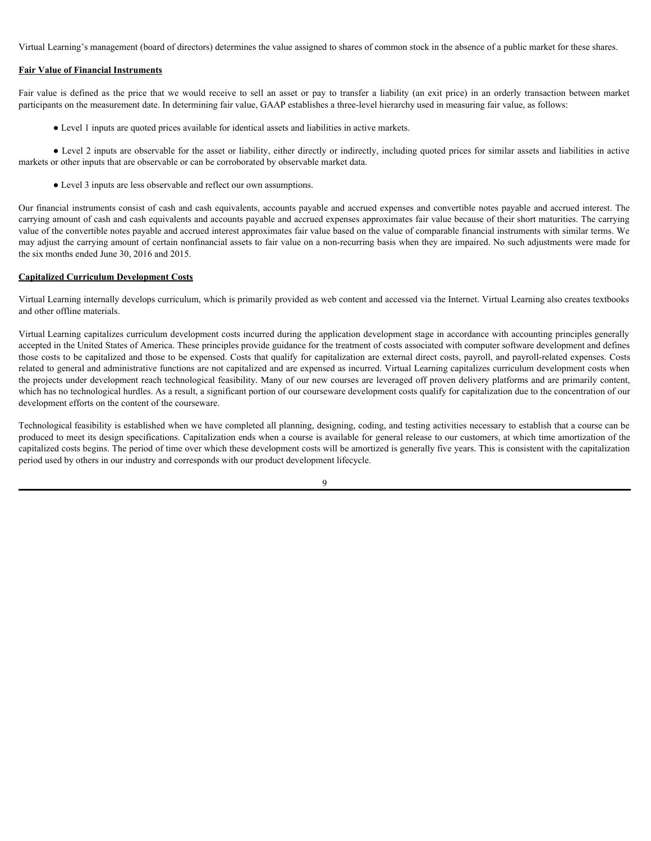Virtual Learning's management (board of directors) determines the value assigned to shares of common stock in the absence of a public market for these shares.

## **Fair Value of Financial Instruments**

participants on the measurement date. In determining fair value, GAAP establishes a three-level hierarchy used in measuring fair value, as follows:

● Level 1 inputs are quoted prices available for identical assets and liabilities in active markets.

Virtual Learning's management (board of directors) determines the value assigned to shares of common stock in the absence of a public market for these shares.<br> **Fair Value of Financial Instruments**<br>
Fair value is defined a ● Level 2 inputs are observable for the asset or liability, either directly or indirectly, including quoted prices for similar assets and liabilities in active markets or other inputs that are observable or can be corroborated by observable market data.

● Level 3 inputs are less observable and reflect our own assumptions.

Our financial instruments consist of cash and cash equivalents, accounts payable and accrued expenses and convertible notes payable and accrued interest. The carrying amount of cash and cash equivalents and accounts payable and accrued expenses approximates fair value because of their short maturities. The carrying value of the convertible notes payable and accrued interest approximates fair value based on the value of comparable financial instruments with similar terms. We may adjust the carrying amount of certain nonfinancial assets to fair value on a non-recurring basis when they are impaired. No such adjustments were made for the six months ended June 30, 2016 and 2015.

#### **Capitalized Curriculum Development Costs**

Virtual Learning internally develops curriculum, which is primarily provided as web content and accessed via the Internet. Virtual Learning also creates textbooks and other offline materials.

Virtual Learning capitalizes curriculum development costs incurred during the application development stage in accordance with accounting principles generally accepted in the United States of America. These principles provide guidance for the treatment of costs associated with computer software development and defines those costs to be capitalized and those to be expensed. Costs that qualify for capitalization are external direct costs, payroll, and payroll-related expenses. Costs related to general and administrative functions are not capitalized and are expensed as incurred. Virtual Learning capitalizes curriculum development costs when the projects under development reach technological feasibility. Many of our new courses are leveraged off proven delivery platforms and are primarily content, which has no technological hurdles. As a result, a significant portion of our courseware development costs qualify for capitalization due to the concentration of our development efforts on the content of the courseware.

Technological feasibility is established when we have completed all planning, designing, coding, and testing activities necessary to establish that a course can be produced to meet its design specifications. Capitalization ends when a course is available for general release to our customers, at which time amortization of the capitalized costs begins. The period of time over which these development costs will be amortized is generally five years. This is consistent with the capitalization period used by others in our industry and corresponds with our product development lifecycle.

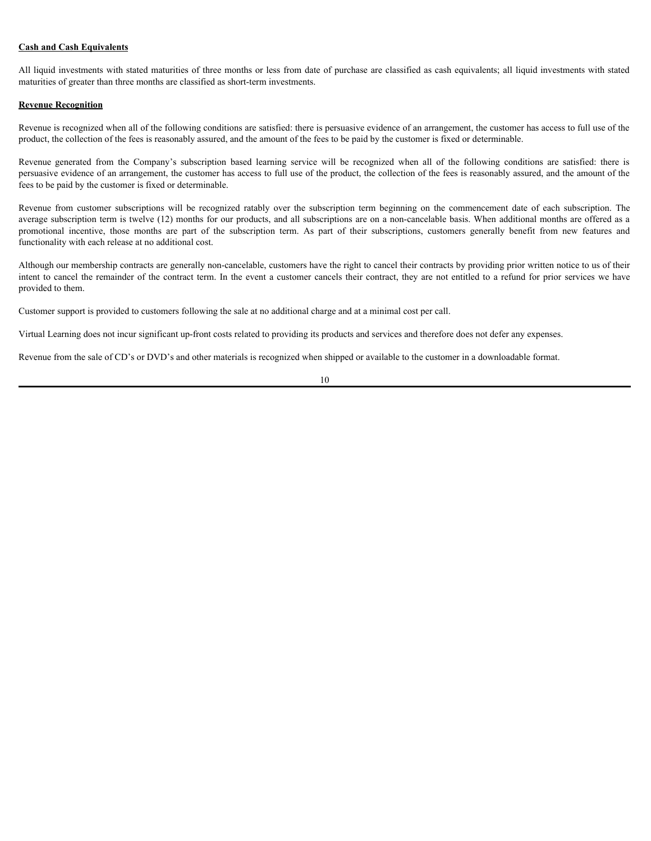## **Cash and Cash Equivalents**

All liquid investments with stated maturities of three months or less from date of purchase are classified as cash equivalents; all liquid investments with stated maturities of greater than three months are classified as short-term investments.

## **Revenue Recognition**

Revenue is recognized when all of the following conditions are satisfied: there is persuasive evidence of an arrangement, the customer has access to full use of the product, the collection of the fees is reasonably assured, and the amount of the fees to be paid by the customer is fixed or determinable.

persuasive evidence of an arrangement, the customer has access to full use of the product, the collection of the fees is reasonably assured, and the amount of the fees to be paid by the customer is fixed or determinable.

Cash and Cash Equivalents<br>All liquid investments with stated maturities of three months or less from date of purchase are classified as cash equivalents; all liquid investments with stated<br>maturities of greater than these **Cash and Cash Equivalents**<br>All liquid investments with stated maturities of three months or less from date of purchase are classified as cash equivalents; all liquid investments with stated<br>maturities of greater than thre average subscription term is twelve (12) months for our products, and all subscriptions are on a non-cancelable basis. When additional months are offered as a **Cush and Cash Equivalents**<br>All liquid investments with stated maturities of three months or less from date of purchase are classified as cash equivalents; all liquid investments with stated<br>maturities of greater than ther functionality with each release at no additional cost.

Although our membership contracts are generally non-cancelable, customers have the right to cancel their contracts by providing prior written notice to us of their intent to cancel the remainder of the contract term. In the event a customer cancels their contract, they are not entitled to a refund for prior services we have provided to them.

Customer support is provided to customers following the sale at no additional charge and at a minimal cost per call.

Virtual Learning does not incur significant up-front costs related to providing its products and services and therefore does not defer any expenses.

Revenue from the sale of CD's or DVD's and other materials is recognized when shipped or available to the customer in a downloadable format.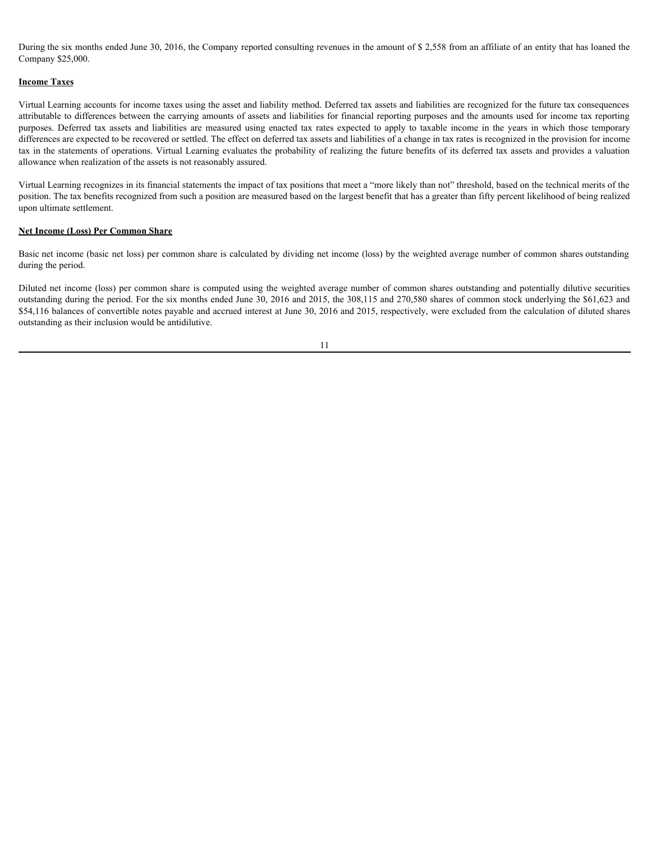During the six months ended June 30, 2016, the Company reported consulting revenues in the amount of \$ 2,558 from an affiliate of an entity that has loaned the Company \$25,000.

## **Income Taxes**

Virtual Learning accounts for income taxes using the asset and liability method. Deferred tax assets and liabilities are recognized for the future tax consequences attributable to differences between the carrying amounts of assets and liabilities for financial reporting purposes and the amounts used for income tax reporting During the six months ended June 30, 2016, the Company reported consulting revenues in the amount of \$ 2,558 from an affiliate of an entity that has loaned the<br>Company \$25,000.<br>Urrual Learning accounts for income taxes usi differences are expected to be recovered or settled. The effect on deferred tax assets and liabilities of a change in tax rates is recognized in the provision for income tax in the statements of operations. Virtual Learning evaluates the probability of realizing the future benefits of its deferred tax assets and provides a valuation allowance when realization of the assets is not reasonably assured.

Virtual Learning recognizes in its financial statements the impact of tax positions that meet a "more likely than not" threshold, based on the technical merits of the position. The tax benefits recognized from such a position are measured based on the largest benefit that has a greater than fifty percent likelihood of being realized upon ultimate settlement.

## **Net Income (Loss) Per Common Share**

Basic net income (basic net loss) per common share is calculated by dividing net income (loss) by the weighted average number of common shares outstanding during the period.

Diluted net income (loss) per common share is computed using the weighted average number of common shares outstanding and potentially dilutive securities outstanding during the period. For the six months ended June 30, 2016 and 2015, the 308,115 and 270,580 shares of common stock underlying the \$61,623 and \$54,116 balances of convertible notes payable and accrued interest at June 30, 2016 and 2015, respectively, were excluded from the calculation of diluted shares outstanding as their inclusion would be antidilutive.

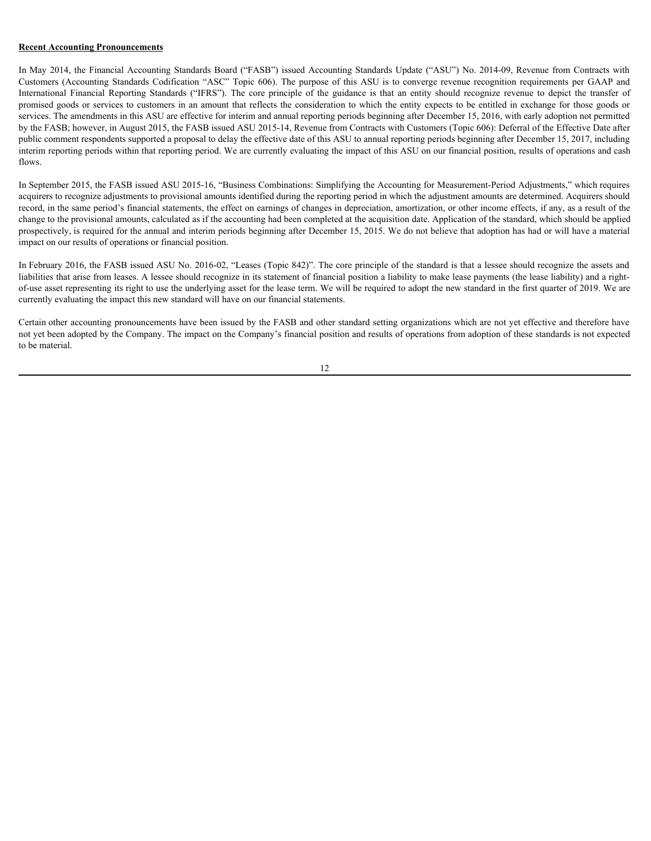## **Recent Accounting Pronouncements**

In May 2014, the Financial Accounting Standards Board ("FASB") issued Accounting Standards Update ("ASU") No. 2014-09, Revenue from Contracts with Recent Accounting Pronouncements<br>In May 2014, the Financial Accounting Standards Board ("FASB") issued Accounting Standards Update ("ASU") No. 2014-09, Revenue from Contracts with<br>Customers (Accounting Standards Codificati **Recent Accounting Pronouncements**<br>In May 2014, the Financial Accounting Standards Board ("FASB") issued Accounting Standards Update ("ASU") No. 2014-09, Revenue from Contracts with<br>Customers (Accounting Standards Codifica promised goods or services to customers in an amount that reflects the consideration to which the entity expects to be entitled in exchange for those goods or services. The amendments in this ASU are effective for interim and annual reporting periods beginning after December 15, 2016, with early adoption not permitted by the FASB; however, in August 2015, the FASB issued ASU 2015-14, Revenue from Contracts with Customers (Topic 606): Deferral of the Effective Date after public comment respondents supported a proposal to delay the effective date of this ASU to annual reporting periods beginning after December 15, 2017, including interim reporting periods within that reporting period. We are currently evaluating the impact of this ASU on our financial position, results of operations and cash flows.

In September 2015, the FASB issued ASU 2015-16, "Business Combinations: Simplifying the Accounting for Measurement-Period Adjustments," which requires acquirers to recognize adjustments to provisional amounts identified during the reporting period in which the adjustment amounts are determined. Acquirers should record, in the same period's financial statements, the effect on earnings of changes in depreciation, amortization, or other income effects, if any, as a result of the change to the provisional amounts, calculated as if the accounting had been completed at the acquisition date. Application of the standard, which should be applied prospectively, is required for the annual and interim periods beginning after December 15, 2015. We do not believe that adoption has had or will have a material impact on our results of operations or financial position.

In February 2016, the FASB issued ASU No. 2016-02, "Leases (Topic 842)". The core principle of the standard is that a lessee should recognize the assets and liabilities that arise from leases. A lessee should recognize in its statement of financial position a liability to make lease payments (the lease liability) and a rightof-use asset representing its right to use the underlying asset for the lease term. We will be required to adopt the new standard in the first quarter of 2019. We are currently evaluating the impact this new standard will have on our financial statements.

Certain other accounting pronouncements have been issued by the FASB and other standard setting organizations which are not yet effective and therefore have not yet been adopted by the Company. The impact on the Company's financial position and results of operations from adoption of these standards is not expected to be material.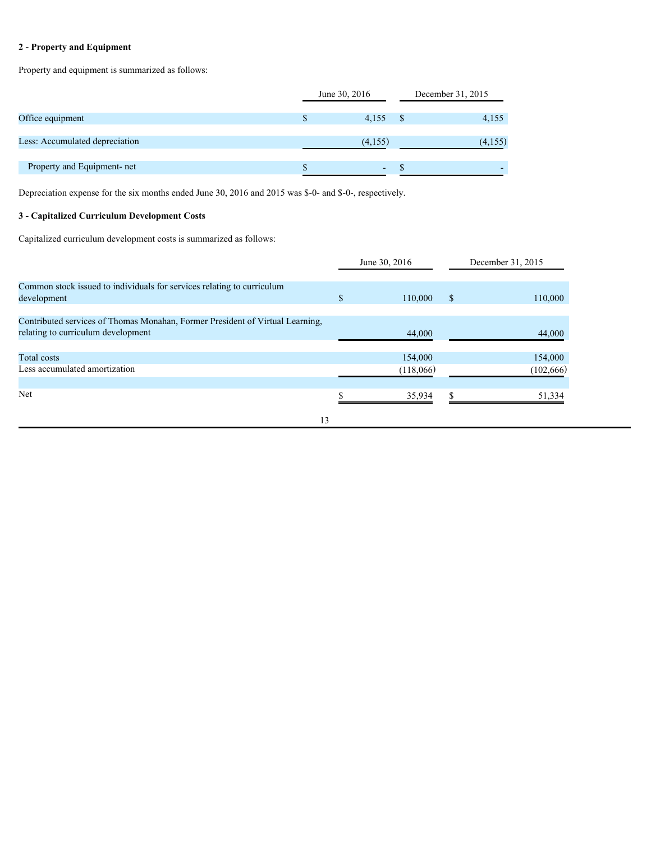# **2 - Property and Equipment**

Property and equipment is summarized as follows:

|                                | June 30, 2016 |         | December 31, 2015 |
|--------------------------------|---------------|---------|-------------------|
| Office equipment               |               | 4,155   | 4,155             |
| Less: Accumulated depreciation |               | (4,155) | (4,155)           |
| Property and Equipment- net    |               | $\sim$  |                   |

Depreciation expense for the six months ended June 30, 2016 and 2015 was \$-0- and \$-0-, respectively.

# **3 - Capitalized Curriculum Development Costs**

Capitalized curriculum development costs is summarized as follows:

|                                                                                                                     | June 30, 2016        |               | December 31, 2015     |
|---------------------------------------------------------------------------------------------------------------------|----------------------|---------------|-----------------------|
| Common stock issued to individuals for services relating to curriculum<br>development                               | 110,000              | <sup>\$</sup> | 110,000               |
| Contributed services of Thomas Monahan, Former President of Virtual Learning,<br>relating to curriculum development | 44,000               |               | 44,000                |
| Total costs<br>Less accumulated amortization                                                                        | 154,000<br>(118,066) |               | 154,000<br>(102, 666) |
| Net                                                                                                                 | 35,934               |               | 51,334                |
| 13                                                                                                                  |                      |               |                       |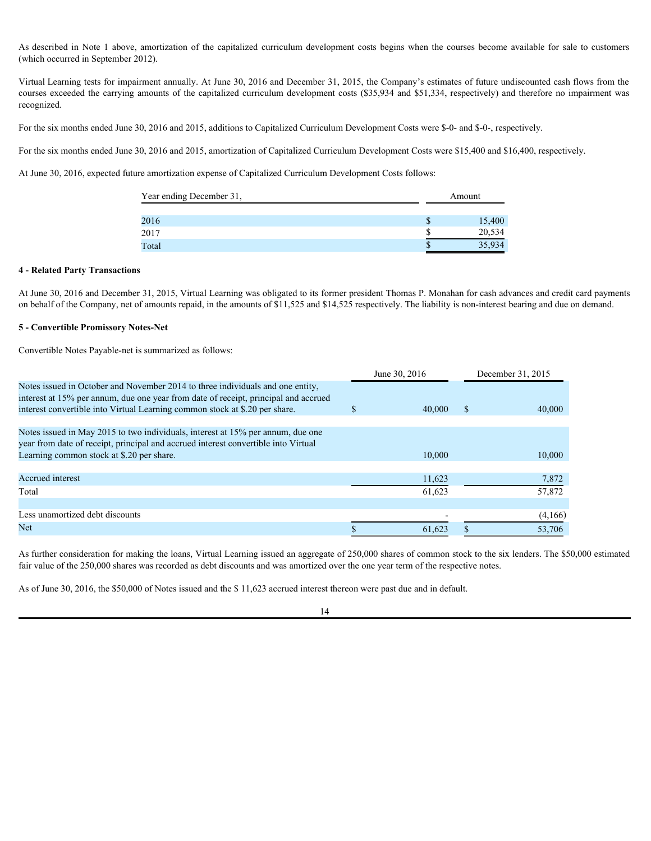(which occurred in September 2012).

As described in Note 1 above, amortization of the capitalized curriculum development costs begins when the courses become available for sale to customers<br>(which occurred in September 2012).<br>Virtual Learning tests for impai Virtual Learning tests for impairment annually. At June 30, 2016 and December 31, 2015, the Company's estimates of future undiscounted cash flows from the courses exceeded the carrying amounts of the capitalized curriculum development costs (\$35,934 and \$51,334, respectively) and therefore no impairment was recognized.

For the six months ended June 30, 2016 and 2015, additions to Capitalized Curriculum Development Costs were \$-0- and \$-0-, respectively.

For the six months ended June 30, 2016 and 2015, amortization of Capitalized Curriculum Development Costs were \$15,400 and \$16,400, respectively.

At June 30, 2016, expected future amortization expense of Capitalized Curriculum Development Costs follows:

| Year ending December 31, | Amount |
|--------------------------|--------|
| 2016                     | 15,400 |
| 2017                     | 20,534 |
| Total                    | 35,934 |

## **4 - Related Party Transactions**

At June 30, 2016 and December 31, 2015, Virtual Learning was obligated to its former president Thomas P. Monahan for cash advances and credit card payments on behalf of the Company, net of amounts repaid, in the amounts of \$11,525 and \$14,525 respectively. The liability is non-interest bearing and due on demand.

## **5 - Convertible Promissory Notes-Net**

Convertible Notes Payable-net is summarized as follows:

|                                                                                                                                                                                                                                                      | June 30, 2016 | December 31, 2015 |
|------------------------------------------------------------------------------------------------------------------------------------------------------------------------------------------------------------------------------------------------------|---------------|-------------------|
| Notes issued in October and November 2014 to three individuals and one entity,<br>interest at 15% per annum, due one year from date of receipt, principal and accrued<br>interest convertible into Virtual Learning common stock at \$.20 per share. | 40,000        | 40,000            |
|                                                                                                                                                                                                                                                      |               |                   |
| Notes issued in May 2015 to two individuals, interest at 15% per annum, due one<br>year from date of receipt, principal and accrued interest convertible into Virtual                                                                                |               |                   |
| Learning common stock at \$.20 per share.                                                                                                                                                                                                            | 10,000        | 10,000            |
|                                                                                                                                                                                                                                                      |               |                   |
| Accrued interest                                                                                                                                                                                                                                     | 11,623        | 7,872             |
| Total                                                                                                                                                                                                                                                | 61,623        | 57,872            |
| Less unamortized debt discounts                                                                                                                                                                                                                      |               | (4,166)           |
| Net                                                                                                                                                                                                                                                  | 61.623        | 53,706            |

As further consideration for making the loans, Virtual Learning issued an aggregate of 250,000 shares of common stock to the six lenders. The \$50,000 estimated fair value of the 250,000 shares was recorded as debt discounts and was amortized over the one year term of the respective notes.

As of June 30, 2016, the \$50,000 of Notes issued and the \$ 11,623 accrued interest thereon were past due and in default.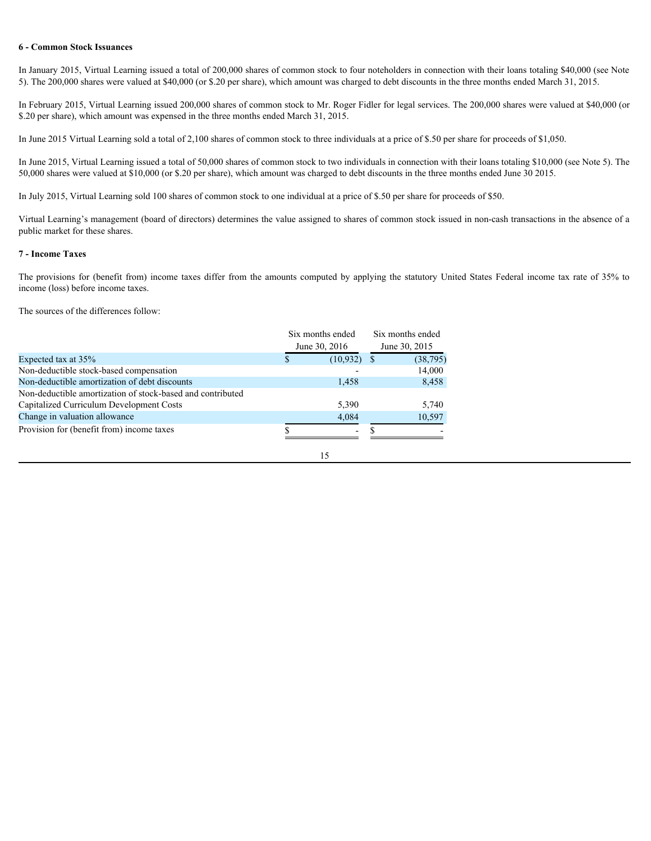## **6 - Common Stock Issuances**

## **7 - Income Taxes**

| 6 - Common Stock Issuances                                                                                                                                                                                                                                                                                                     |                                   |               |                                   |  |  |
|--------------------------------------------------------------------------------------------------------------------------------------------------------------------------------------------------------------------------------------------------------------------------------------------------------------------------------|-----------------------------------|---------------|-----------------------------------|--|--|
| In January 2015, Virtual Learning issued a total of 200,000 shares of common stock to four noteholders in connection with their loans totaling \$40,000 (see Note<br>5). The 200,000 shares were valued at \$40,000 (or \$.20 per share), which amount was charged to debt discounts in the three months ended March 31, 2015. |                                   |               |                                   |  |  |
| In February 2015, Virtual Learning issued 200,000 shares of common stock to Mr. Roger Fidler for legal services. The 200,000 shares were valued at \$40,000 (or<br>\$.20 per share), which amount was expensed in the three months ended March 31, 2015.                                                                       |                                   |               |                                   |  |  |
| In June 2015 Virtual Learning sold a total of 2,100 shares of common stock to three individuals at a price of \$.50 per share for proceeds of \$1,050.                                                                                                                                                                         |                                   |               |                                   |  |  |
| In June 2015, Virtual Learning issued a total of 50,000 shares of common stock to two individuals in connection with their loans totaling \$10,000 (see Note 5). The<br>50,000 shares were valued at \$10,000 (or \$.20 per share), which amount was charged to debt discounts in the three months ended June 30 2015.         |                                   |               |                                   |  |  |
| In July 2015, Virtual Learning sold 100 shares of common stock to one individual at a price of \$.50 per share for proceeds of \$50.                                                                                                                                                                                           |                                   |               |                                   |  |  |
| Virtual Learning's management (board of directors) determines the value assigned to shares of common stock issued in non-cash transactions in the absence of a<br>public market for these shares.                                                                                                                              |                                   |               |                                   |  |  |
| <b>7 - Income Taxes</b>                                                                                                                                                                                                                                                                                                        |                                   |               |                                   |  |  |
| The provisions for (benefit from) income taxes differ from the amounts computed by applying the statutory United States Federal income tax rate of 35% to<br>income (loss) before income taxes.                                                                                                                                |                                   |               |                                   |  |  |
| The sources of the differences follow:                                                                                                                                                                                                                                                                                         |                                   |               |                                   |  |  |
|                                                                                                                                                                                                                                                                                                                                | Six months ended<br>June 30, 2016 |               | Six months ended<br>June 30, 2015 |  |  |
| Expected tax at 35%<br>Non-deductible stock-based compensation<br>Non-deductible amortization of debt discounts                                                                                                                                                                                                                | (10.932)<br>S.<br>1,458           | <b>S</b>      | (38, 795)<br>14,000<br>8,458      |  |  |
| Non-deductible amortization of stock-based and contributed<br>Capitalized Curriculum Development Costs                                                                                                                                                                                                                         | 5,390                             |               | 5,740                             |  |  |
| Change in valuation allowance<br>Provision for (benefit from) income taxes                                                                                                                                                                                                                                                     | 4,084<br>$\overline{\phantom{a}}$ | <sup>\$</sup> | 10,597                            |  |  |
|                                                                                                                                                                                                                                                                                                                                | 15                                |               |                                   |  |  |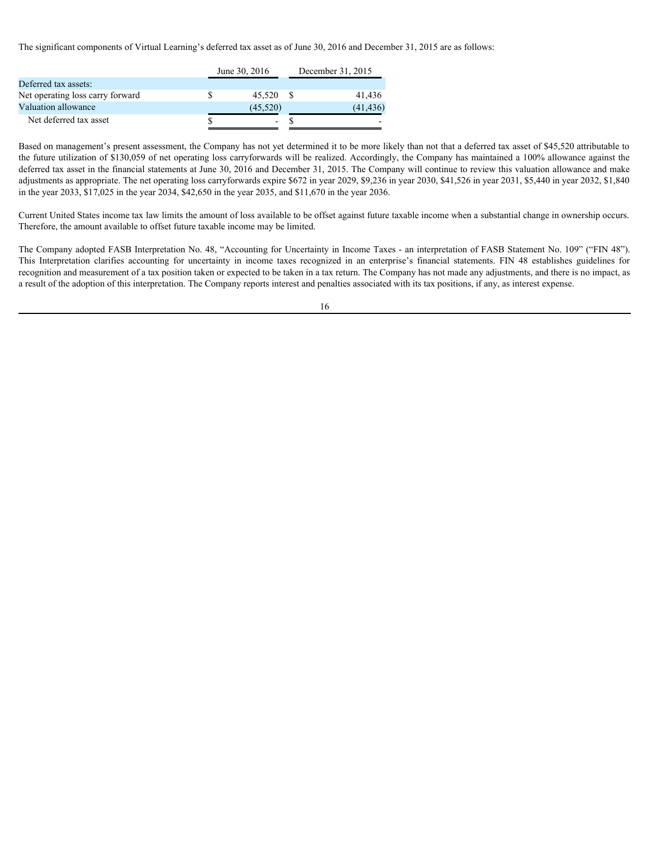The significant components of Virtual Learning's deferred tax asset as of June 30, 2016 and December 31, 2015 are as follows:

|                                  | June 30, 2016            | December 31, 2015        |
|----------------------------------|--------------------------|--------------------------|
| Deferred tax assets:             |                          |                          |
| Net operating loss carry forward | 45.520                   | 41.436                   |
| Valuation allowance              | (45.520)                 | (41, 436)                |
| Net deferred tax asset           | $\overline{\phantom{0}}$ | $\overline{\phantom{0}}$ |
|                                  |                          |                          |

Based on management's present assessment, the Company has not yet determined it to be more likely than not that a deferred tax asset of \$45,520 attributable to the future utilization of \$130,059 of net operating loss carryforwards will be realized. Accordingly, the Company has maintained a 100% allowance against the deferred tax asset in the financial statements at June 30, 2016 and December 31, 2015. The Company will continue to review this valuation allowance and make adjustments as appropriate. The net operating loss carryforwards expire \$672 in year 2029, \$9,236 in year 2030, \$41,526 in year 2031, \$5,440 in year 2032, \$1,840 in the year 2033, \$17,025 in the year 2034, \$42,650 in the year 2035, and \$11,670 in the year 2036. The significant components of Virtual Learning's deferred tax asset as of June 30, 2016 and December 31, 2015<br>
Determed at assests.<br>
Net operating loss earry forward<br>
Station allowing accounting the second assessment, the

Current United States income tax law limits the amount of loss available to be offset against future taxable income when a substantial change in ownership occurs. Therefore, the amount available to offset future taxable income may be limited.

The Company adopted FASB Interpretation No. 48, "Accounting for Uncertainty in Income Taxes - an interpretation of FASB Statement No. 109" ("FIN 48"). recognition and measurement of a tax position taken or expected to be taken in a tax return. The Company has not made any adjustments, and there is no impact, as a result of the adoption of this interpretation. The Company reports interest and penalties associated with its tax positions, if any, as interest expense.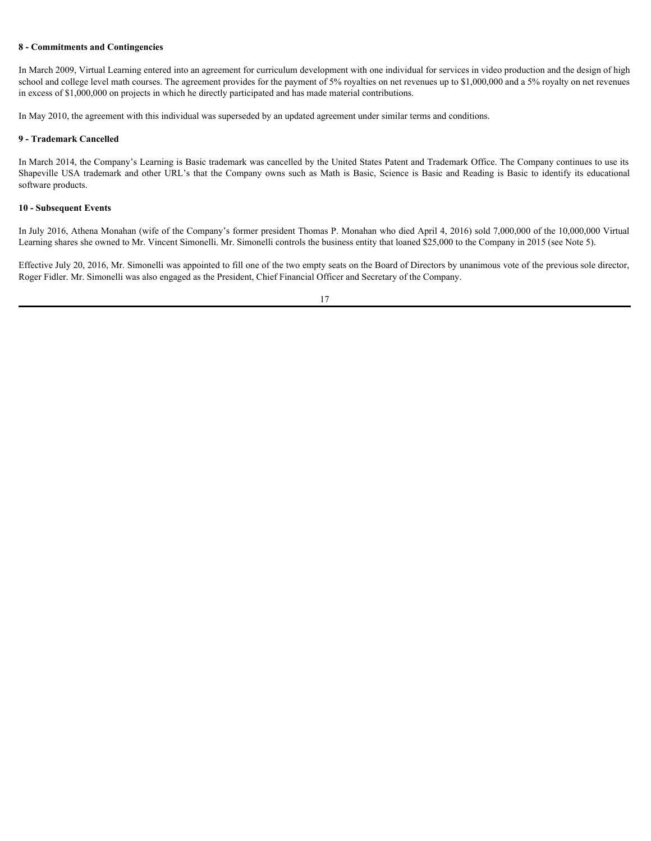## **8 - Commitments and Contingencies**

In March 2009, Virtual Learning entered into an agreement for curriculum development with one individual for services in video production and the design of high school and college level math courses. The agreement provides for the payment of 5% royalties on net revenues up to \$1,000,000 and a 5% royalty on net revenues in excess of \$1,000,000 on projects in which he directly participated and has made material contributions.

In May 2010, the agreement with this individual was superseded by an updated agreement under similar terms and conditions.

## **9 - Trademark Cancelled**

In March 2014, the Company's Learning is Basic trademark was cancelled by the United States Patent and Trademark Office. The Company continues to use its **S** - Commitments and Contingencies<br>In March 2009, Virtual Learning entered into an agreement for curriculum development with one individual for services in video production and the design of high<br>shock and college level m software products.

## **10 - Subsequent Events**

In July 2016, Athena Monahan (wife of the Company's former president Thomas P. Monahan who died April 4, 2016) sold 7,000,000 of the 10,000,000 Virtual Learning shares she owned to Mr. Vincent Simonelli. Mr. Simonelli controls the business entity that loaned \$25,000 to the Company in 2015 (see Note 5).

Effective July 20, 2016, Mr. Simonelli was appointed to fill one of the two empty seats on the Board of Directors by unanimous vote of the previous sole director, Roger Fidler. Mr. Simonelli was also engaged as the President, Chief Financial Officer and Secretary of the Company.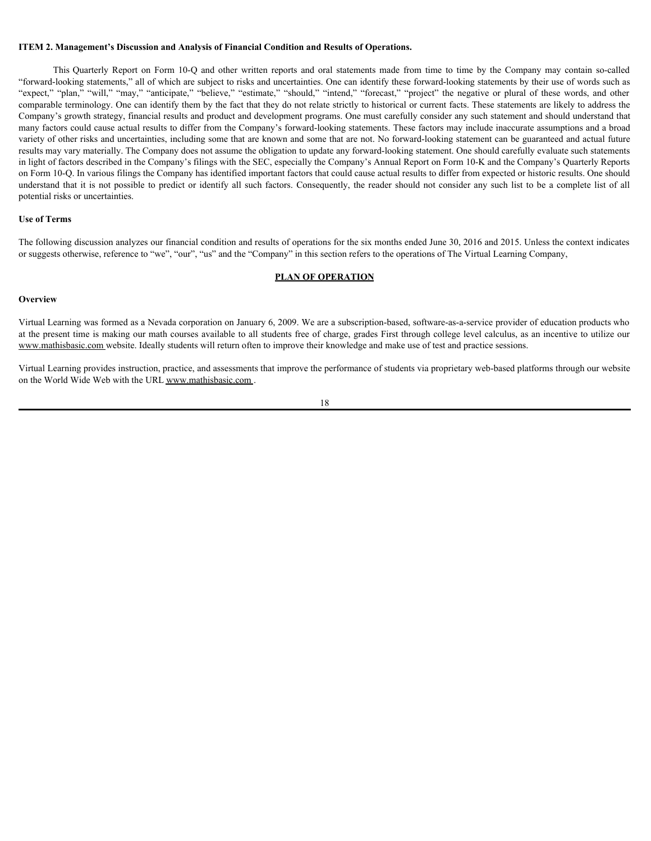#### **ITEM 2. Management's Discussion and Analysis of Financial Condition and Results of Operations.**

**Management's Discussion and Analysis of Financial Condition and Results of Operations.**<br>This Quarterly Report on Form 10-Q and other written reports and oral statements made from time to time by the Company may contain so "forward-looking statements," all of which are subject to risks and uncertainties. One can identify these forward-looking statements by their use of words such as TTEM 2. Management's Discussion and Analysis of Financial Condition and Results of Operations.<br>
This Quarterly Report on Form 10-Q and other written reports and oral statements made from time to time by the Company may con comparable terminology. One can identify them by the fact that they do not relate strictly to historical or current facts. These statements are likely to address the Company's growth strategy, financial results and product and development programs. One must carefully consider any such statement and should understand that many factors could cause actual results to differ from the Company's forward-looking statements. These factors may include inaccurate assumptions and a broad variety of other risks and uncertainties, including some that are known and some that are not. No forward-looking statement can be guaranteed and actual future results may vary materially. The Company does not assume the obligation to update any forward-looking statement. One should carefully evaluate such statements in light of factors described in the Company's filings with the SEC, especially the Company's Annual Report on Form 10-K and the Company's Quarterly Reports on Form 10-Q. In various filings the Company has identified important factors that could cause actual results to differ from expected or historic results. One should understand that it is not possible to predict or identify all such factors. Consequently, the reader should not consider any such list to be a complete list of all potential risks or uncertainties.

#### **Use of Terms**

The following discussion analyzes our financial condition and results of operations for the six months ended June 30, 2016 and 2015. Unless the context indicates or suggests otherwise, reference to "we", "our", "us" and the "Company" in this section refers to the operations of The Virtual Learning Company,

#### **PLAN OF OPERATION**

#### **Overview Overview** *Overview*

Virtual Learning was formed as a Nevada corporation on January 6, 2009. We are a subscription-based, software-as-a-service provider of education products who at the present time is making our math courses available to all students free of charge, grades First through college level calculus, as an incentive to utilize our www.mathisbasic.com website. Ideally students will return often to improve their knowledge and make use of test and practice sessions.

Virtual Learning provides instruction, practice, and assessments that improve the performance of students via proprietary web-based platforms through our website on the World Wide Web with the URL www.mathisbasic.com .

18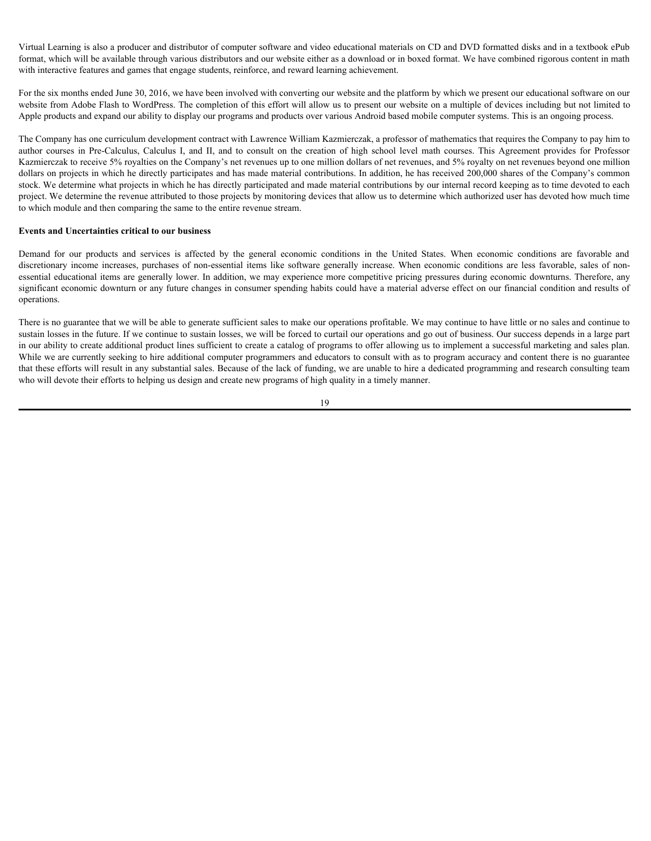Virtual Learning is also a producer and distributor of computer software and video educational materials on CD and DVD formatted disks and in a textbook ePub format, which will be available through various distributors and our website either as a download or in boxed format. We have combined rigorous content in math with interactive features and games that engage students, reinforce, and reward learning achievement.

For the six months ended June 30, 2016, we have been involved with converting our website and the platform by which we present our educational software on our website from Adobe Flash to WordPress. The completion of this effort will allow us to present our website on a multiple of devices including but not limited to Apple products and expand our ability to display our programs and products over various Android based mobile computer systems. This is an ongoing process.

The Company has one curriculum development contract with Lawrence William Kazmierczak, a professor of mathematics that requires the Company to pay him to Virtual Learning is also a producer and distributor of computer software and video educational materials on CD and DVD formatted disks and in a textbook ePub<br>format, which will be available hrough various distributors and Kazmierczak to receive 5% royalties on the Company's net revenues up to one million dollars of net revenues, and 5% royalty on net revenues beyond one million dollars on projects in which he directly participates and has made material contributions. In addition, he has received 200,000 shares of the Company's common stock. We determine what projects in which he has directly participated and made material contributions by our internal record keeping as to time devoted to each project. We determine the revenue attributed to those projects by monitoring devices that allow us to determine which authorized user has devoted how much time to which module and then comparing the same to the entire revenue stream. Writal Learning is also a producer and distribution of computer software and video educational materials on CD and DVD formaled disks and in textbook ePob<br>formal which will be contable forcely verono distributions and our Virtual Learning is also a producer and distribution of computer sellware and video educational internals on CD and DVD formated disks and in textbook ePlo<br>format, which will be consider derogal various distribution and o

## **Events and Uncertainties critical to our business**

essential educational items are generally lower. In addition, we may experience more competitive pricing pressures during economic downturns. Therefore, any significant economic downturn or any future changes in consumer spending habits could have a material adverse effect on our financial condition and results of operations.

There is no guarantee that we will be able to generate sufficient sales to make our operations profitable. We may continue to have little or no sales and continue to sustain losses in the future. If we continue to sustain losses, we will be forced to curtail our operations and go out of business. Our success depends in a large part in our ability to create additional product lines sufficient to create a catalog of programs to offer allowing us to implement a successful marketing and sales plan. While we are currently seeking to hire additional computer programmers and educators to consult with as to program accuracy and content there is no guarantee that these efforts will result in any substantial sales. Because of the lack of funding, we are unable to hire a dedicated programming and research consulting team who will devote their efforts to helping us design and create new programs of high quality in a timely manner.

19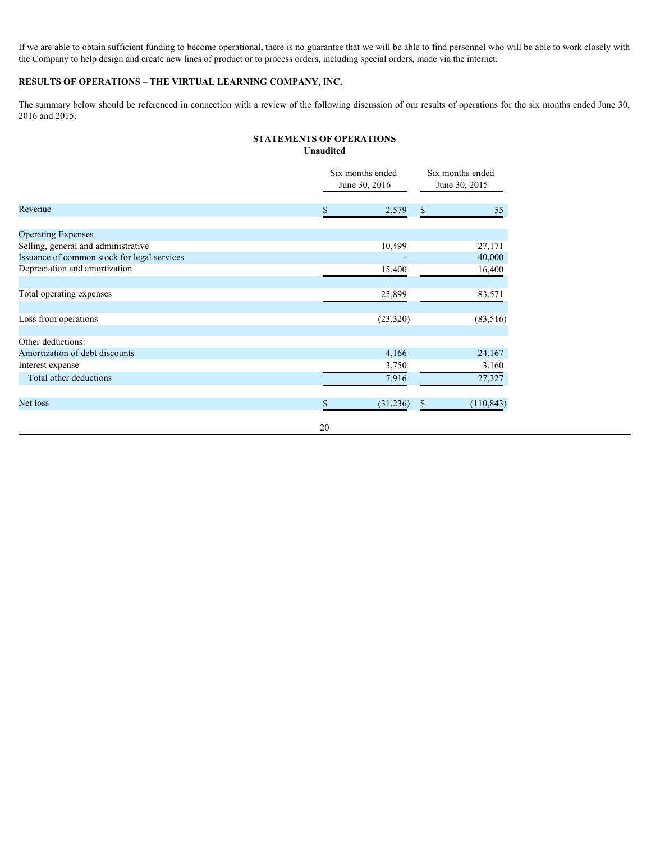If we are able to obtain sufficient funding to become operational, there is no guarantee that we will be able to find personnel who will be able to work closely with the Company to help design and create new lines of product or to process orders, including special orders, made via the internet.

## **RESULTS OF OPERATIONS – THE VIRTUAL LEARNING COMPANY, INC.**

The summary below should be referenced in connection with a review of the following discussion of our results of operations for the six months ended June 30, 2016 and 2015.

## **STATEMENTS OF OPERATIONS Unaudited**

|                                             |    | Six months ended<br>June 30, 2016 | Six months ended<br>June 30, 2015 |  |
|---------------------------------------------|----|-----------------------------------|-----------------------------------|--|
| Revenue                                     | Ъ. | 2,579                             | 55<br>$\mathbb{S}$                |  |
| <b>Operating Expenses</b>                   |    |                                   |                                   |  |
| Selling, general and administrative         |    | 10,499                            | 27,171                            |  |
| Issuance of common stock for legal services |    |                                   | 40,000                            |  |
| Depreciation and amortization               |    | 15,400                            | 16,400                            |  |
|                                             |    |                                   |                                   |  |
| Total operating expenses                    |    | 25,899                            | 83,571                            |  |
|                                             |    |                                   |                                   |  |
| Loss from operations                        |    | (23, 320)                         | (83, 516)                         |  |
|                                             |    |                                   |                                   |  |
| Other deductions:                           |    |                                   |                                   |  |
| Amortization of debt discounts              |    | 4,166                             | 24,167                            |  |
| Interest expense                            |    | 3,750                             | 3,160                             |  |
| Total other deductions                      |    | 7,916                             | 27,327                            |  |
|                                             |    |                                   |                                   |  |
| Net loss                                    | \$ | (31,236)                          | (110, 843)<br>$\mathbb{S}$        |  |
|                                             |    |                                   |                                   |  |
|                                             | 20 |                                   |                                   |  |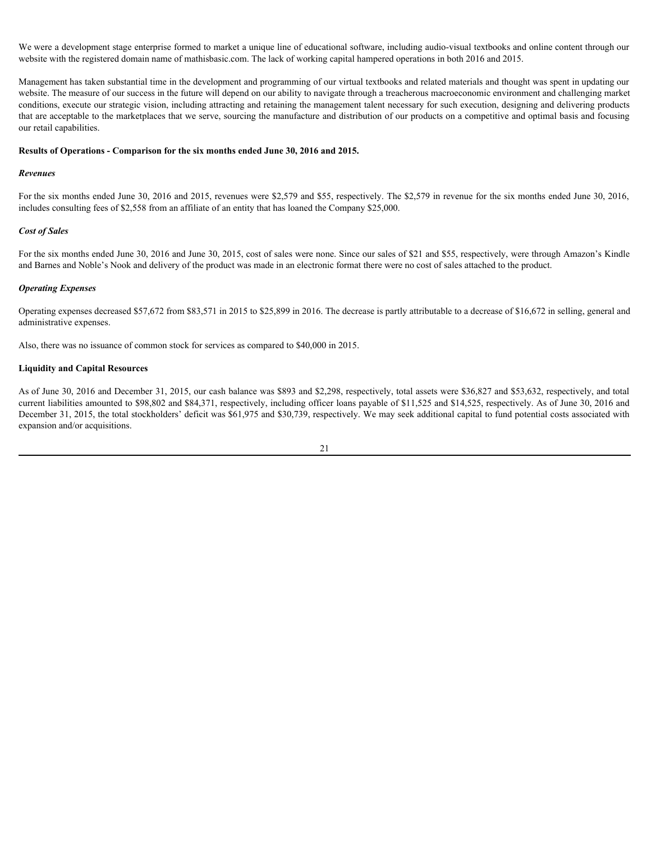We were a development stage enterprise formed to market a unique line of educational software, including audio-visual textbooks and online content through our website with the registered domain name of mathisbasic.com. The lack of working capital hampered operations in both 2016 and 2015.

Management has taken substantial time in the development and programming of our virtual textbooks and related materials and thought was spent in updating our website. The measure of our success in the future will depend on our ability to navigate through a treacherous macroeconomic environment and challenging market conditions, execute our strategic vision, including attracting and retaining the management talent necessary for such execution, designing and delivering products that are acceptable to the marketplaces that we serve, sourcing the manufacture and distribution of our products on a competitive and optimal basis and focusing our retail capabilities.

#### **Results of Operations - Comparison for the six months ended June 30, 2016 and 2015.**

#### *Revenues*

For the six months ended June 30, 2016 and 2015, revenues were \$2,579 and \$55, respectively. The \$2,579 in revenue for the six months ended June 30, 2016, includes consulting fees of \$2,558 from an affiliate of an entity that has loaned the Company \$25,000.

#### *Cost of Sales*

For the six months ended June 30, 2016 and June 30, 2015, cost of sales were none. Since our sales of \$21 and \$55, respectively, were through Amazon's Kindle and Barnes and Noble's Nook and delivery of the product was made in an electronic format there were no cost of sales attached to the product.

#### *Operating Expenses*

Operating expenses decreased \$57,672 from \$83,571 in 2015 to \$25,899 in 2016. The decrease is partly attributable to a decrease of \$16,672 in selling, general and administrative expenses.

Also, there was no issuance of common stock for services as compared to \$40,000 in 2015.

## **Liquidity and Capital Resources**

As of June 30, 2016 and December 31, 2015, our cash balance was \$893 and \$2,298, respectively, total assets were \$36,827 and \$53,632, respectively, and total current liabilities amounted to \$98,802 and \$84,371, respectively, including officer loans payable of \$11,525 and \$14,525, respectively. As of June 30, 2016 and December 31, 2015, the total stockholders' deficit was \$61,975 and \$30,739, respectively. We may seek additional capital to fund potential costs associated with expansion and/or acquisitions.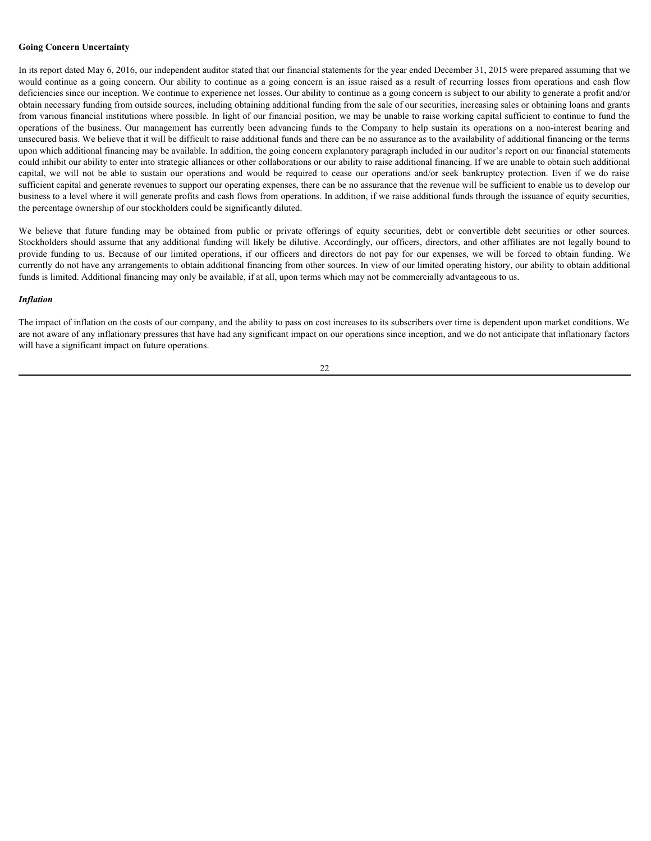#### **Going Concern Uncertainty**

In its report dated May 6, 2016, our independent auditor stated that our financial statements for the year ended December 31, 2015 were prepared assuming that we would continue as a going concern. Our ability to continue as a going concern is an issue raised as a result of recurring losses from operations and cash flow deficiencies since our inception. We continue to experience net losses. Our ability to continue as a going concern is subject to our ability to generate a profit and/or obtain necessary funding from outside sources, including obtaining additional funding from the sale of our securities, increasing sales or obtaining loans and grants from various financial institutions where possible. In light of our financial position, we may be unable to raise working capital sufficient to continue to fund the operations of the business. Our management has currently **Going Concern Uncertainty**<br>In its report dated May 6, 2016, our independent auditor stated that our financial statements for the year ended December 31, 2015 were prepared assuming that we<br>would continue as a going conce unsecured basis. We believe that it will be difficult to raise additional funds and there can be no assurance as to the availability of additional financing or the terms upon which additional financing may be available. In addition, the going concern explanatory paragraph included in our auditor's report on our financial statements could inhibit our ability to enter into strategic alliances or other collaborations or our ability to raise additional financing. If we are unable to obtain such additional **Going Concern Uncertainty**<br>In is report dated May 6, 2016, our independent auditor stated that our financial statements for the year ended December 31, 2015 were prepared assuming that we<br>would continue as a going concer sufficient capital and generate revenues to support our operating expenses, there can be no assurance that the revenue will be sufficient to enable us to develop our business to a level where it will generate profits and cash flows from operations. In addition, if we raise additional funds through the issuance of equity securities, the percentage ownership of our stockholders could be significantly diluted. Going Concern Uncertainty<br>
In its report dated May 6, 2016, cor independent auditor stated that our financial statements for the year ended December 31, 2015 were prepared assuming that we<br>
would continue as a going conce Going Concern Uncertainty<br>
In its report dated May 6, 2016, our independent and/ior sitied that our financial statements for the year ended December 31, 2015 were prepared assuming that we<br>
would certifient as a going conc

Stockholders should assume that any additional funding will likely be dilutive. Accordingly, our officers, directors, and other affiliates are not legally bound to currently do not have any arrangements to obtain additional financing from other sources. In view of our limited operating history, our ability to obtain additional funds is limited. Additional financing may only be available, if at all, upon terms which may not be commercially advantageous to us.

#### *Inflation*

The impact of inflation on the costs of our company, and the ability to pass on cost increases to its subscribers over time is dependent upon market conditions. We are not aware of any inflationary pressures that have had any significant impact on our operations since inception, and we do not anticipate that inflationary factors will have a significant impact on future operations.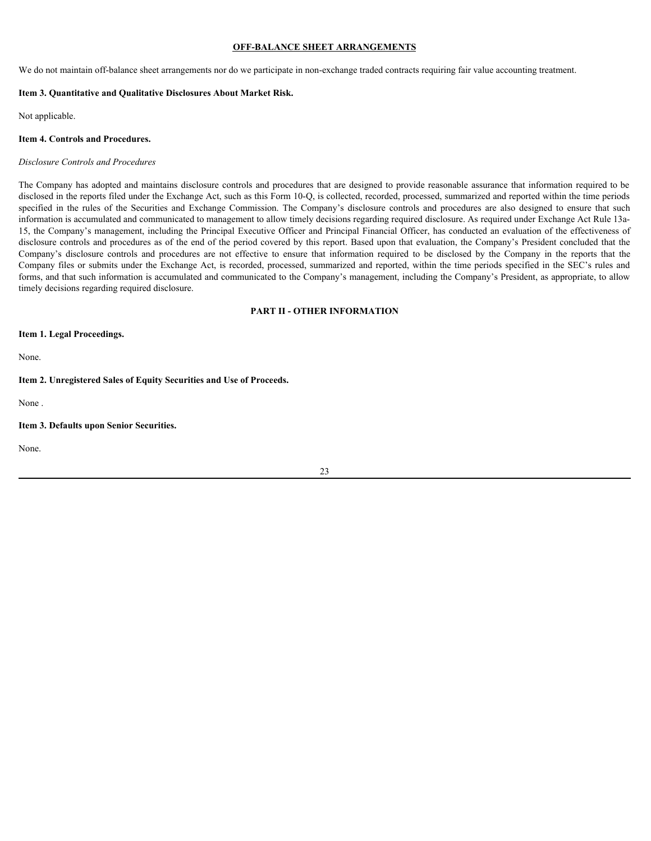### **OFF-BALANCE SHEET ARRANGEMENTS**

We do not maintain off-balance sheet arrangements nor do we participate in non-exchange traded contracts requiring fair value accounting treatment.

#### **Item 3. Quantitative and Qualitative Disclosures About Market Risk.**

Not applicable.

#### **Item 4. Controls and Procedures.**

#### *Disclosure Controls and Procedures*

The Company has adopted and maintains disclosure controls and procedures that are designed to provide reasonable assurance that information required to be disclosed in the reports filed under the Exchange Act, such as this Form 10-Q, is collected, recorded, processed, summarized and reported within the time periods **OFF-BALANCE SILEET ARRANGEMIES**<br>
Ve do not maintain off-balance sheet arrangements nor do we participate in non-exchange traded contracts requiring fair value accounting reatment.<br>
Item 3. Quantitative and Qualitative Dis information is accumulated and communicated to management to allow timely decisions regarding required disclosure. As required under Exchange Act Rule 13a-15, the Company's management, including the Principal Executive Officer and Principal Financial Officer, has conducted an evaluation of the effectiveness of disclosure controls and procedures as of the end of the period covered by this report. Based upon that evaluation, the Company's President concluded that the **COF-BALANCE SHEET ARRANGEMIENTS**<br>
Ve do not maintain of Jelalance sheet arrangements aor do we participate in non-exchange traded contracts requiring fair value accounting treatment.<br>
Item 4. Controls and Procedures.<br>
Dis Company files or submits under the Exchange Act, is recorded, processed, summarized and reported, within the time periods specified in the SEC's rules and forms, and that such information is accumulated and communicated to the Company's management, including the Company's President, as appropriate, to allow timely decisions regarding required disclosure.

### **PART II - OTHER INFORMATION**

## **Item 1. Legal Proceedings.**

None.

## **Item 2. Unregistered Sales of Equity Securities and Use of Proceeds.**

None .

#### **Item 3. Defaults upon Senior Securities.**

None.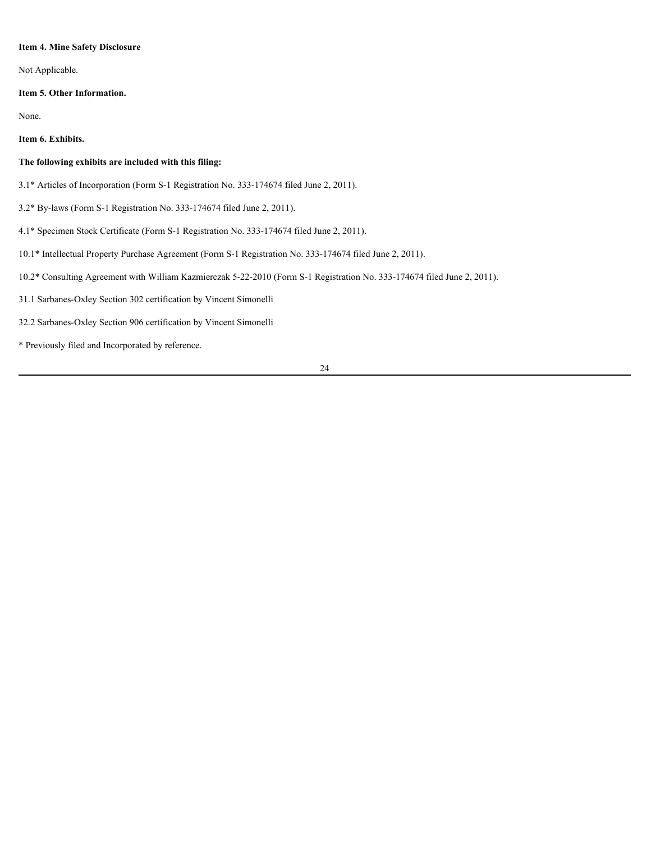## **Item 4. Mine Safety Disclosure**

Not Applicable.

## **Item 5. Other Information.**

None.

# **Item 6. Exhibits.**

# **The following exhibits are included with this filing:**

- 3.1\* Articles of Incorporation (Form S-1 Registration No. 333-174674 filed June 2, 2011).
- 3.2\* By-laws (Form S-1 Registration No. 333-174674 filed June 2, 2011).
- 4.1\* Specimen Stock Certificate (Form S-1 Registration No. 333-174674 filed June 2, 2011).
- 10.1\* Intellectual Property Purchase Agreement (Form S-1 Registration No. 333-174674 filed June 2, 2011).
- 10.2\* Consulting Agreement with William Kazmierczak 5-22-2010 (Form S-1 Registration No. 333-174674 filed June 2, 2011).
- 31.1 Sarbanes-Oxley Section 302 certification by Vincent Simonelli
- 32.2 Sarbanes-Oxley Section 906 certification by Vincent Simonelli
- \* Previously filed and Incorporated by reference.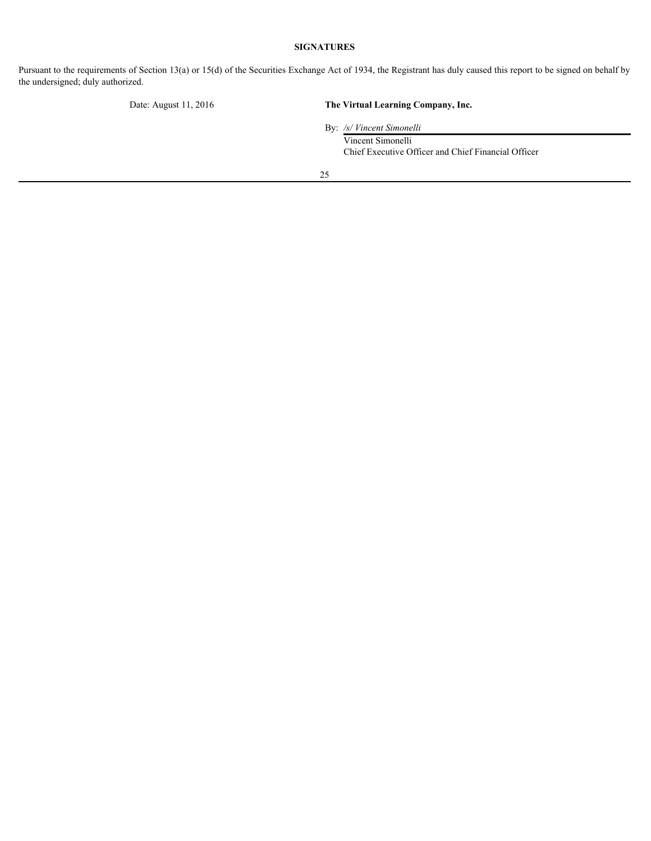# **SIGNATURES**

Pursuant to the requirements of Section 13(a) or 15(d) of the Securities Exchange Act of 1934, the Registrant has duly caused this report to be signed on behalf by the undersigned; duly authorized.

# Date: August 11, 2016 **The Virtual Learning Company, Inc.**

By: */s/ Vincent Simonelli*

Vincent Simonelli Chief Executive Officer and Chief Financial Officer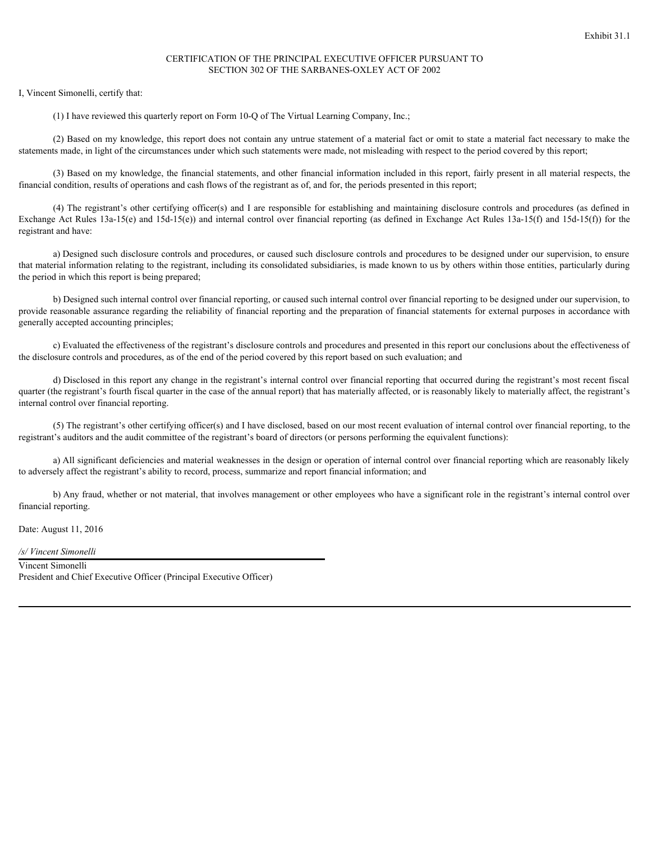## CERTIFICATION OF THE PRINCIPAL EXECUTIVE OFFICER PURSUANT TO SECTION 302 OF THE SARBANES-OXLEY ACT OF 2002

I, Vincent Simonelli, certify that:

(1) I have reviewed this quarterly report on Form 10-Q of The Virtual Learning Company, Inc.;

(2) Based on my knowledge, this report does not contain any untrue statement of a material fact or omit to state a material fact necessary to make the statements made, in light of the circumstances under which such statements were made, not misleading with respect to the period covered by this report;

(3) Based on my knowledge, the financial statements, and other financial information included in this report, fairly present in all material respects, the financial condition, results of operations and cash flows of the registrant as of, and for, the periods presented in this report;

(4) The registrant's other certifying officer(s) and I are responsible for establishing and maintaining disclosure controls and procedures (as defined in Exchange Act Rules 13a-15(e) and 15d-15(e)) and internal control over financial reporting (as defined in Exchange Act Rules 13a-15(f) and 15d-15(f)) for the registrant and have:

a) Designed such disclosure controls and procedures, or caused such disclosure controls and procedures to be designed under our supervision, to ensure that material information relating to the registrant, including its consolidated subsidiaries, is made known to us by others within those entities, particularly during the period in which this report is being prepared;

b) Designed such internal control over financial reporting, or caused such internal control over financial reporting to be designed under our supervision, to provide reasonable assurance regarding the reliability of financial reporting and the preparation of financial statements for external purposes in accordance with generally accepted accounting principles;

c) Evaluated the effectiveness of the registrant's disclosure controls and procedures and presented in this report our conclusions about the effectiveness of the disclosure controls and procedures, as of the end of the period covered by this report based on such evaluation; and

d) Disclosed in this report any change in the registrant's internal control over financial reporting that occurred during the registrant's most recent fiscal quarter (the registrant's fourth fiscal quarter in the case of the annual report) that has materially affected, or is reasonably likely to materially affect, the registrant's internal control over financial reporting.

(5) The registrant's other certifying officer(s) and I have disclosed, based on our most recent evaluation of internal control over financial reporting, to the registrant's auditors and the audit committee of the registrant's board of directors (or persons performing the equivalent functions):

a) All significant deficiencies and material weaknesses in the design or operation of internal control over financial reporting which are reasonably likely to adversely affect the registrant's ability to record, process, summarize and report financial information; and

b) Any fraud, whether or not material, that involves management or other employees who have a significant role in the registrant's internal control over financial reporting.

Date: August 11, 2016

*/s/ Vincent Simonelli*

Vincent Simonelli President and Chief Executive Officer (Principal Executive Officer)